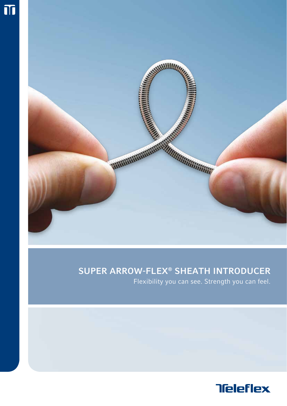

# Super Arrow-Flex® Sheath Introducer

Flexibility you can see. Strength you can feel.

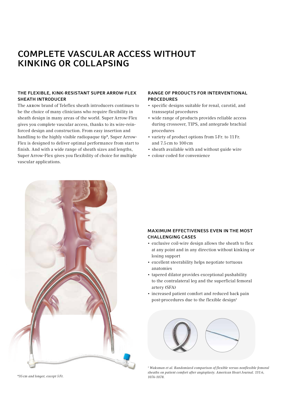# Complete vascular access without kinking or collapsing

# THE FLEXIBLE, KINK-RESISTANT SUPER ARROW-FLEX SHEATH INTRODUCER

The ARROW brand of Teleflex sheath introducers continues to be the choice of many clinicians who require flexibility in sheath design in many areas of the world. Super Arrow-Flex gives you complete vascular access, thanks to its wire-reinforced design and construction. From easy insertion and handling to the highly visible radiopaque tip\*, Super Arrow-Flex is designed to deliver optimal performance from start to finish. And with a wide range of sheath sizes and lengths, Super Arrow-Flex gives you flexibility of choice for multiple vascular applications.

# RANGE OF PRODUCTS FOR INTERVENTIONAL **PROCEDURES**

- specific designs suitable for renal, carotid, and transseptal procedures
- wide range of products provides reliable access during crossover, TIPS, and antegrade brachial procedures
- variety of product options from 5Fr. to 11Fr. and 7.5cm to 100cm
- sheath available with and without guide wire
- colour coded for convenience



## MAXIMUM EFFECTIVENESS EVEN IN THE MOST CHALLENGING CASES

- exclusive coil-wire design allows the sheath to flex at any point and in any direction without kinking or losing support
- excellent steerability helps negotiate tortuous anatomies
- tapered dilator provides exceptional pushability to the contralateral leg and the superficial femoral artery (SFA)
- increased patient comfort and reduced back pain post-procedures due to the flexible design<sup>1</sup>



<sup>1</sup> Waksman et al. Randomized comparison of flexible versus nonflexible femoral *sheaths on patient comfort after angioplasty. American Heart Journal. 131:6, 1076-1078.*

*\*35cm and longer, except 5Fr.*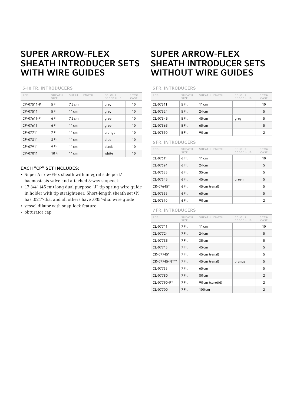# Super Arrow-Flex SHEATH INTRODUCER SETS WITH WIRE GUIDES

| REF.       | SHEATH<br><b>SIZE</b> | SHEATH LENGTH   | COLOUR<br>CODED HUB | SETS/<br>CASE |
|------------|-----------------------|-----------------|---------------------|---------------|
| CP-07511-P | 5 Fr.                 | 7.5cm           | grey                | 10            |
| CP-07511   | 5 Fr.                 | 11cm            | grey                | 10            |
| CP-07611-P | 6 Fr.                 | 7.5cm           | green               | 10            |
| CP-07611   | 6Fr.                  | $11 \text{ cm}$ | green               | 10            |
| CP-07711   | 7 Fr.                 | $11 \text{ cm}$ | orange              | 10            |
| CP-07811   | 8Fr.                  | $11 \text{ cm}$ | blue                | 10            |
| CP-07911   | 9 Fr.                 | 11 cm           | black               | 10            |
| CP-07011   | $10$ Fr.              | $11 \text{ cm}$ | white               | 10            |
|            |                       |                 |                     |               |

# 5-10 FR. INTRODUCERS

#### Each "CP" set includes:

- Super Arrow-Flex sheath with integral side port/ haemostasis valve and attached 3-way stopcock
- 17 3/4" (45cm) long dual purpose "J" tip spring-wire guide in holder with tip straightener. Short-length sheath set (P) has .021"-dia. and all others have .035"-dia. wire guide
- vessel dilator with snap-lock feature
- obturator cap

# Super Arrow-Flex SHEATH INTRODUCER SETS WITHOUT WIRE GUIDES

| <b>5FR. INTRODUCERS</b> |                       |                  |                     |                |
|-------------------------|-----------------------|------------------|---------------------|----------------|
| REF.                    | <b>SHEATH</b><br>SIZE | SHEATH LENGTH    | COLOUR<br>CODED HUB | SETS/<br>CASE  |
| CL-07511                | 5 Fr.                 | 11cm             |                     | 10             |
| CL-07524                | 5 Fr.                 | $24 \text{ cm}$  |                     | 5              |
| CL-07545                | 5 Fr.                 | 45 cm            | grey                | 5              |
| $CL-07565$              | 5 Fr.                 | 65cm             |                     | 5              |
| CL-07590                | 5 Fr.                 | 90cm             |                     | 2              |
| <b>6FR. INTRODUCERS</b> |                       |                  |                     |                |
| REF.                    | SHEATH<br>SIZE        | SHEATH LENGTH    | COLOUR<br>CODED HUB | SETS/<br>CASE  |
| CL-07611                | 6 Fr.                 | 11cm             |                     | 10             |
| CL-07624                | 6 Fr.                 | 24 cm            |                     | 5              |
| CL-07635                | 6 Fr.                 | 35 cm            |                     | 5              |
| CL-07645                | 6 Fr.                 | 45 cm            | green               | 5              |
| CR-07645*               | 6 Fr.                 | 45 cm (renal)    |                     | 5              |
| CL-07665                | 6 Fr.                 | 65 cm            |                     | 5              |
| CL-07690                | 6 Fr.                 | 90 <sub>cm</sub> |                     | 2              |
| <b>7FR. INTRODUCERS</b> |                       |                  |                     |                |
| REF.                    | SHEATH<br>SIZE        | SHEATH LENGTH    | COLOUR<br>CODED HUB | SETS/<br>CASE  |
| CL-07711                | 7 Fr.                 | 11 cm            |                     | 10             |
| CL-07724                | 7 Fr.                 | 24cm             |                     | 5              |
| CL-07735                | 7 Fr.                 | 35 cm            |                     | 5              |
| CL-07745                | 7 Fr.                 | 45 cm            |                     | 5              |
| CR-07745*               | 7 Fr.                 | 45 cm (renal)    |                     | 5              |
| CR-07745-NT**           | 7 Fr.                 | 45 cm (renal)    | orange              | 5              |
| CL-07765                | 7 Fr.                 | 65cm             |                     | 5              |
| CL-07780                | 7 Fr.                 | 80 <sub>cm</sub> |                     | $\overline{2}$ |
| CL-07790-R*             | 7 Fr.                 | 90 cm (carotid)  |                     | 2              |
| CL-07700                | 7 Fr.                 | 100 cm           |                     | $\overline{2}$ |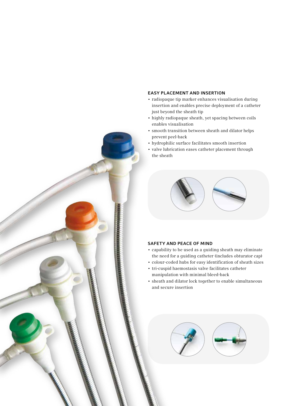### EASY PLACEMENT AND INSERTION

- radiopaque tip marker enhances visualisation during insertion and enables precise deployment of a catheter just beyond the sheath tip
- highly radiopaque sheath, yet spacing between coils enables visualisation
- smooth transition between sheath and dilator helps prevent peel-back
- hydrophilic surface facilitates smooth insertion
- valve lubrication eases catheter placement through the sheath



### SAFETY AND PEACE OF MIND

- capability to be used as a guiding sheath may eliminate the need for a guiding catheter (includes obturator cap)
- colour-coded hubs for easy identification of sheath sizes
- tri-cuspid haemostasis valve facilitates catheter manipulation with minimal bleed-back
- sheath and dilator lock together to enable simultaneous and secure insertion

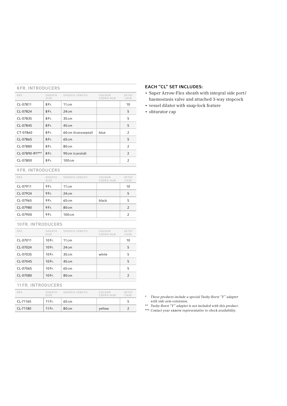#### 8Fr. Introducers

| REF.              | <b>SHEATH</b><br><b>SIZE</b> | SHEATH LENGTH       | COLOUR<br><b>CODED HUB</b> | SETS/<br>CASE |
|-------------------|------------------------------|---------------------|----------------------------|---------------|
| CL-07811          | 8 Fr.                        | $11 \text{ cm}$     |                            | 10            |
| $CL-07824$        | 8 Fr.                        | $24 \text{ cm}$     |                            | 5             |
| CL-07835          | 8 Fr.                        | 35cm                |                            | 5             |
| $CL-07845$        | 8 Fr.                        | 45cm                |                            | 5             |
| CT-07860          | 8 Fr.                        | 60 cm (transseptal) | blue                       | 2             |
| $CL-07865$        | 8Fr.                         | 65cm                |                            | 5             |
| CL-07880          | 8 Fr.                        | 80cm                |                            | 2             |
| $CL-07890-R*/***$ | 8Fr.                         | 90 cm (carotid)     |                            | 2             |
| CL-07800          | 8 Fr.                        | 100cm               |                            | 2             |

#### 9Fr. Introducers

| REF.     | <b>SHEATH</b><br>SIZE | <b>SHEATH LENGTH</b> | COLOUR<br><b>CODED HUB</b> | SET <sub>S</sub> /<br>CASE |
|----------|-----------------------|----------------------|----------------------------|----------------------------|
| CL-07911 | 9 Fr.                 | $11 \text{ cm}$      |                            | 10                         |
| CL-07924 | 9 Fr.                 | 24cm                 |                            | 5                          |
| CL-07965 | 9 Fr.                 | 65 cm                | black                      | 5                          |
| CL-07980 | 9 Fr.                 | 80 <sub>cm</sub>     |                            | 2                          |
| CL-07900 | 9 Fr.                 | 100cm                |                            | 2                          |

#### 10Fr. Introducers

| REF.     | <b>SHEATH</b><br>SIZE | SHEATH LENGTH   | COLOUR<br><b>CODED HUB</b> | SETS/<br>CASE  |
|----------|-----------------------|-----------------|----------------------------|----------------|
| CL-07011 | 10 Fr.                | $11 \text{ cm}$ |                            | 10             |
| CL-07024 | 10 Fr.                | 24cm            |                            | 5              |
| CL-07035 | 10 Fr.                | 35cm            | white                      | 5              |
| CL-07045 | 10 Fr.                | 45 cm           |                            | 5              |
| CL-07065 | 10 Fr.                | 65 cm           |                            | 5              |
| CL-07080 | 10 Fr.                | 80cm            |                            | $\overline{2}$ |
|          |                       |                 |                            |                |

#### 11Fr. Introducers

| REF.     | SHEATH<br>SIZE | SHEATH LENGTH | COLOUR<br>CODED HUB | SETS/<br>CASE |
|----------|----------------|---------------|---------------------|---------------|
| CL-71165 | 11 Fr.         | 65 cm         |                     | 5             |
| CL-71180 | $11$ Fr.       | 80cm          | yellow              |               |

## Each "CL" set includes:

- Super Arrow-Flex sheath with integral side port/ haemostasis valve and attached 3-way stopcock
- vessel dilator with snap-lock feature
- obturator cap

- *\* These products include a special Tuohy-Borst "Y" adapter with side arm extension.*
- *\*\* Tuohy-Borst "Y" adapter is not included with this product.*
- *\*\*\* Contact your* Arrow *representative to check availability.*